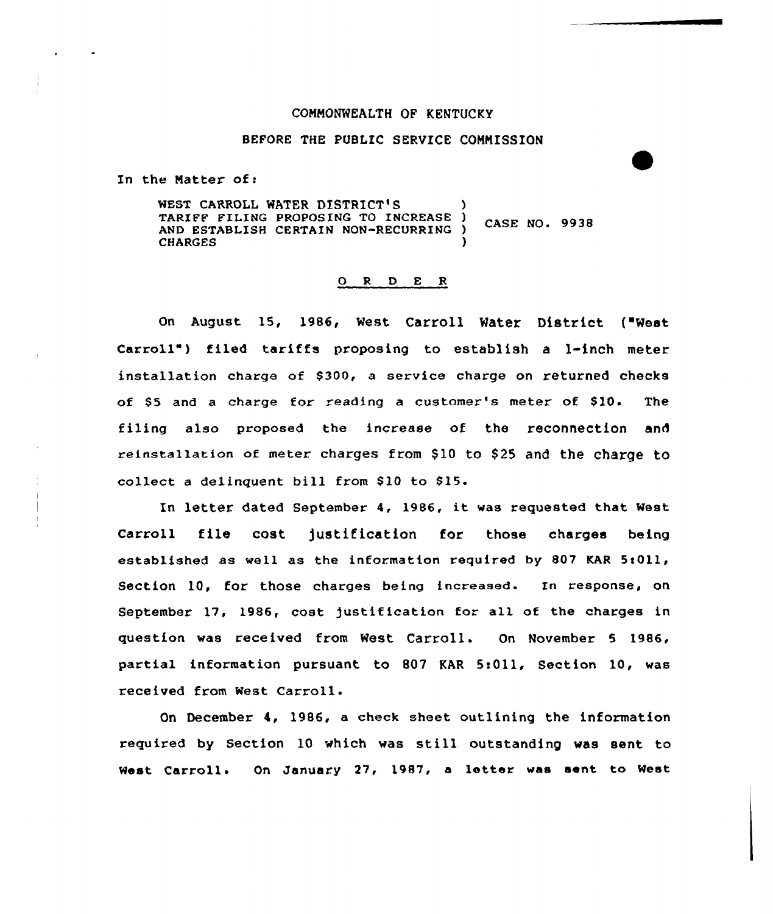## CONNONWEALTH OF KENTUCKy

# BEFORE THE PUBLIC SERVICE CONNISSION

In the Natter of:

WEST CARROLL WATER DISTRICT'S TARIFF FILING PROPOSING TO INCREASE ) CASE NO. 9938 AND ESTABLISH CERTAIN NON-RECURRING CHARGES (1999)

### O R D E R

On August 15, 1986, West Carroll Water District ("West carroll" ) filed tariffs proposing to establish a 1-inch meter installation charge of \$300, a service charge on returned checks of \$5 and a charge for reading a customer's meter of \$10. The filing also proposed the increase of the reconnection and reinstallation of meter charges from \$10 to \$25 and the charge to collect a delinquent bill from \$10 to \$15.

ln letter dated September 4, 1986, it was requested that West Carroll file cost )ustification for those charges being established as well as the information required by 807 KAR 5:011, Section 10, for those charges being increased. In response, on September 17, 1986, cost )ustification for all of the charges in question was received from West Carroll. On November 5 1986, partial information pursuant to 807 KAR 5:011, Section 10, was received from West

December 4, 1986, a check sheet outlining the information required by Section <sup>10</sup> which was still outstanding was sent to West Carroll. On January 27, l987, <sup>a</sup> letter was sent to West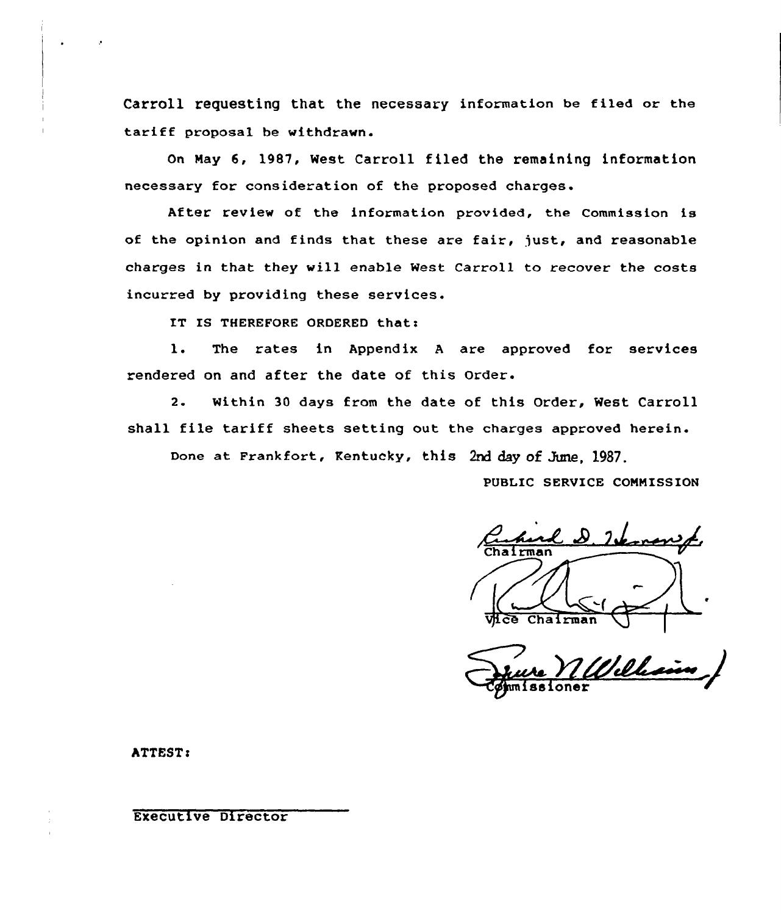Carroll requesting that the necessary information be filed or the tariff proposal be withdrawn.

On Nay 6, 19B7, West Carroll filed the remaining information necessary for consideration of the proposed charges.

After review of the information provided, the Commission is of the opinion and finds that these are fair, just, and reasonable charges in that they will enable West Carroll to recover the costs incurred by providing these services.

IT IS THEREFORE ORDERED that:

1. The rates in Appendix A are approved for services rendered on and after the date of this Order.

2. Within 30 days from the date of this Order, West Carroll shall file tariff sheets setting out the charges approved herein.

Done at Frankfort, Kentucky, this 2nd day of June, 1987.

PUBLIC SERVICE COMNISSION

<u>2 D. Verronst</u>  $Chafman$ 

<u> Iilli</u> ioner

ATTEST:

Executive Director